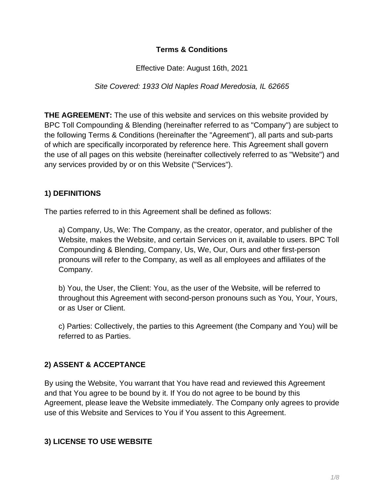#### **Terms & Conditions**

Effective Date: August 16th, 2021

Site Covered: 1933 Old Naples Road Meredosia, IL 62665

**THE AGREEMENT:** The use of this website and services on this website provided by BPC Toll Compounding & Blending (hereinafter referred to as "Company") are subject to the following Terms & Conditions (hereinafter the "Agreement"), all parts and sub-parts of which are specifically incorporated by reference here. This Agreement shall govern the use of all pages on this website (hereinafter collectively referred to as "Website") and any services provided by or on this Website ("Services").

#### **1) DEFINITIONS**

The parties referred to in this Agreement shall be defined as follows:

a) Company, Us, We: The Company, as the creator, operator, and publisher of the Website, makes the Website, and certain Services on it, available to users. BPC Toll Compounding & Blending, Company, Us, We, Our, Ours and other first-person pronouns will refer to the Company, as well as all employees and affiliates of the Company.

b) You, the User, the Client: You, as the user of the Website, will be referred to throughout this Agreement with second-person pronouns such as You, Your, Yours, or as User or Client.

c) Parties: Collectively, the parties to this Agreement (the Company and You) will be referred to as Parties.

### **2) ASSENT & ACCEPTANCE**

By using the Website, You warrant that You have read and reviewed this Agreement and that You agree to be bound by it. If You do not agree to be bound by this Agreement, please leave the Website immediately. The Company only agrees to provide use of this Website and Services to You if You assent to this Agreement.

### **3) LICENSE TO USE WEBSITE**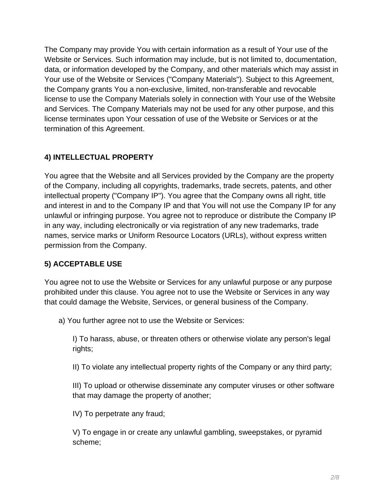The Company may provide You with certain information as a result of Your use of the Website or Services. Such information may include, but is not limited to, documentation, data, or information developed by the Company, and other materials which may assist in Your use of the Website or Services ("Company Materials"). Subject to this Agreement, the Company grants You a non-exclusive, limited, non-transferable and revocable license to use the Company Materials solely in connection with Your use of the Website and Services. The Company Materials may not be used for any other purpose, and this license terminates upon Your cessation of use of the Website or Services or at the termination of this Agreement.

# **4) INTELLECTUAL PROPERTY**

You agree that the Website and all Services provided by the Company are the property of the Company, including all copyrights, trademarks, trade secrets, patents, and other intellectual property ("Company IP"). You agree that the Company owns all right, title and interest in and to the Company IP and that You will not use the Company IP for any unlawful or infringing purpose. You agree not to reproduce or distribute the Company IP in any way, including electronically or via registration of any new trademarks, trade names, service marks or Uniform Resource Locators (URLs), without express written permission from the Company.

### **5) ACCEPTABLE USE**

You agree not to use the Website or Services for any unlawful purpose or any purpose prohibited under this clause. You agree not to use the Website or Services in any way that could damage the Website, Services, or general business of the Company.

a) You further agree not to use the Website or Services:

I) To harass, abuse, or threaten others or otherwise violate any person's legal rights;

II) To violate any intellectual property rights of the Company or any third party;

III) To upload or otherwise disseminate any computer viruses or other software that may damage the property of another;

IV) To perpetrate any fraud;

V) To engage in or create any unlawful gambling, sweepstakes, or pyramid scheme;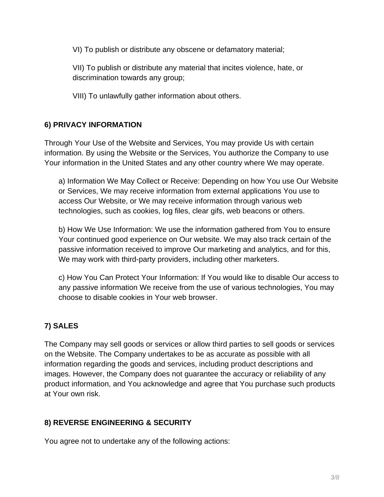VI) To publish or distribute any obscene or defamatory material;

VII) To publish or distribute any material that incites violence, hate, or discrimination towards any group;

VIII) To unlawfully gather information about others.

# **6) PRIVACY INFORMATION**

Through Your Use of the Website and Services, You may provide Us with certain information. By using the Website or the Services, You authorize the Company to use Your information in the United States and any other country where We may operate.

a) Information We May Collect or Receive: Depending on how You use Our Website or Services, We may receive information from external applications You use to access Our Website, or We may receive information through various web technologies, such as cookies, log files, clear gifs, web beacons or others.

b) How We Use Information: We use the information gathered from You to ensure Your continued good experience on Our website. We may also track certain of the passive information received to improve Our marketing and analytics, and for this, We may work with third-party providers, including other marketers.

c) How You Can Protect Your Information: If You would like to disable Our access to any passive information We receive from the use of various technologies, You may choose to disable cookies in Your web browser.

# **7) SALES**

The Company may sell goods or services or allow third parties to sell goods or services on the Website. The Company undertakes to be as accurate as possible with all information regarding the goods and services, including product descriptions and images. However, the Company does not guarantee the accuracy or reliability of any product information, and You acknowledge and agree that You purchase such products at Your own risk.

### **8) REVERSE ENGINEERING & SECURITY**

You agree not to undertake any of the following actions: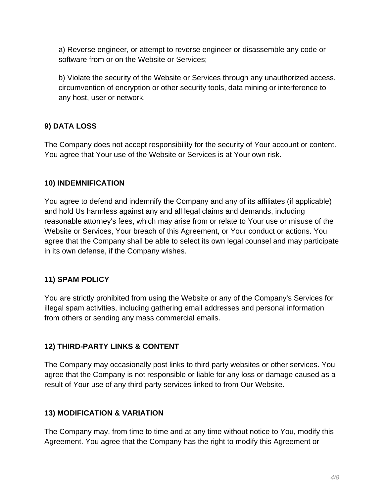a) Reverse engineer, or attempt to reverse engineer or disassemble any code or software from or on the Website or Services;

b) Violate the security of the Website or Services through any unauthorized access, circumvention of encryption or other security tools, data mining or interference to any host, user or network.

## **9) DATA LOSS**

The Company does not accept responsibility for the security of Your account or content. You agree that Your use of the Website or Services is at Your own risk.

### **10) INDEMNIFICATION**

You agree to defend and indemnify the Company and any of its affiliates (if applicable) and hold Us harmless against any and all legal claims and demands, including reasonable attorney's fees, which may arise from or relate to Your use or misuse of the Website or Services, Your breach of this Agreement, or Your conduct or actions. You agree that the Company shall be able to select its own legal counsel and may participate in its own defense, if the Company wishes.

### **11) SPAM POLICY**

You are strictly prohibited from using the Website or any of the Company's Services for illegal spam activities, including gathering email addresses and personal information from others or sending any mass commercial emails.

### **12) THIRD-PARTY LINKS & CONTENT**

The Company may occasionally post links to third party websites or other services. You agree that the Company is not responsible or liable for any loss or damage caused as a result of Your use of any third party services linked to from Our Website.

### **13) MODIFICATION & VARIATION**

The Company may, from time to time and at any time without notice to You, modify this Agreement. You agree that the Company has the right to modify this Agreement or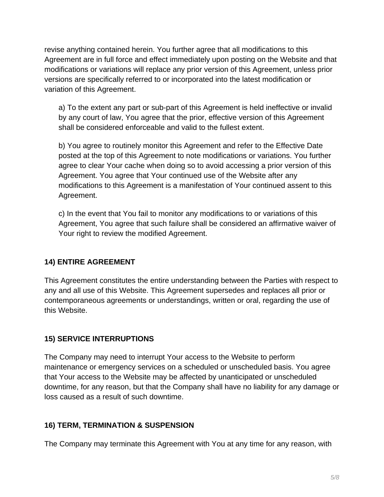revise anything contained herein. You further agree that all modifications to this Agreement are in full force and effect immediately upon posting on the Website and that modifications or variations will replace any prior version of this Agreement, unless prior versions are specifically referred to or incorporated into the latest modification or variation of this Agreement.

a) To the extent any part or sub-part of this Agreement is held ineffective or invalid by any court of law, You agree that the prior, effective version of this Agreement shall be considered enforceable and valid to the fullest extent.

b) You agree to routinely monitor this Agreement and refer to the Effective Date posted at the top of this Agreement to note modifications or variations. You further agree to clear Your cache when doing so to avoid accessing a prior version of this Agreement. You agree that Your continued use of the Website after any modifications to this Agreement is a manifestation of Your continued assent to this Agreement.

c) In the event that You fail to monitor any modifications to or variations of this Agreement, You agree that such failure shall be considered an affirmative waiver of Your right to review the modified Agreement.

### **14) ENTIRE AGREEMENT**

This Agreement constitutes the entire understanding between the Parties with respect to any and all use of this Website. This Agreement supersedes and replaces all prior or contemporaneous agreements or understandings, written or oral, regarding the use of this Website.

### **15) SERVICE INTERRUPTIONS**

The Company may need to interrupt Your access to the Website to perform maintenance or emergency services on a scheduled or unscheduled basis. You agree that Your access to the Website may be affected by unanticipated or unscheduled downtime, for any reason, but that the Company shall have no liability for any damage or loss caused as a result of such downtime.

#### **16) TERM, TERMINATION & SUSPENSION**

The Company may terminate this Agreement with You at any time for any reason, with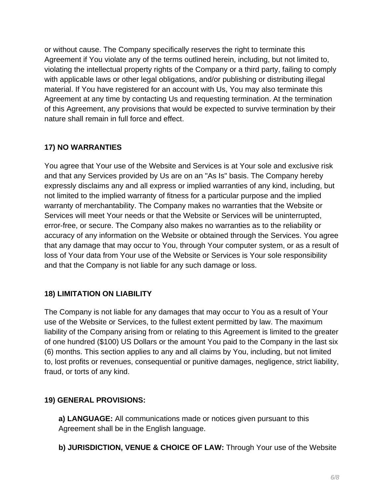or without cause. The Company specifically reserves the right to terminate this Agreement if You violate any of the terms outlined herein, including, but not limited to, violating the intellectual property rights of the Company or a third party, failing to comply with applicable laws or other legal obligations, and/or publishing or distributing illegal material. If You have registered for an account with Us, You may also terminate this Agreement at any time by contacting Us and requesting termination. At the termination of this Agreement, any provisions that would be expected to survive termination by their nature shall remain in full force and effect.

## **17) NO WARRANTIES**

You agree that Your use of the Website and Services is at Your sole and exclusive risk and that any Services provided by Us are on an "As Is" basis. The Company hereby expressly disclaims any and all express or implied warranties of any kind, including, but not limited to the implied warranty of fitness for a particular purpose and the implied warranty of merchantability. The Company makes no warranties that the Website or Services will meet Your needs or that the Website or Services will be uninterrupted, error-free, or secure. The Company also makes no warranties as to the reliability or accuracy of any information on the Website or obtained through the Services. You agree that any damage that may occur to You, through Your computer system, or as a result of loss of Your data from Your use of the Website or Services is Your sole responsibility and that the Company is not liable for any such damage or loss.

### **18) LIMITATION ON LIABILITY**

The Company is not liable for any damages that may occur to You as a result of Your use of the Website or Services, to the fullest extent permitted by law. The maximum liability of the Company arising from or relating to this Agreement is limited to the greater of one hundred (\$100) US Dollars or the amount You paid to the Company in the last six (6) months. This section applies to any and all claims by You, including, but not limited to, lost profits or revenues, consequential or punitive damages, negligence, strict liability, fraud, or torts of any kind.

### **19) GENERAL PROVISIONS:**

**a) LANGUAGE:** All communications made or notices given pursuant to this Agreement shall be in the English language.

**b) JURISDICTION, VENUE & CHOICE OF LAW:** Through Your use of the Website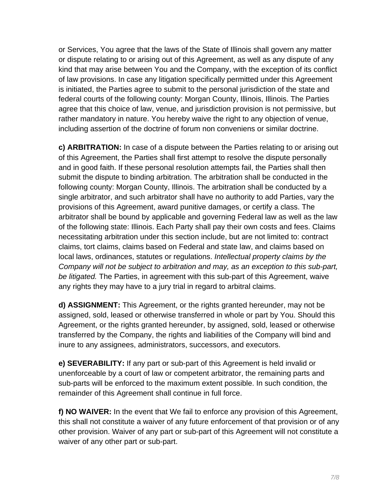or Services, You agree that the laws of the State of Illinois shall govern any matter or dispute relating to or arising out of this Agreement, as well as any dispute of any kind that may arise between You and the Company, with the exception of its conflict of law provisions. In case any litigation specifically permitted under this Agreement is initiated, the Parties agree to submit to the personal jurisdiction of the state and federal courts of the following county: Morgan County, Illinois, Illinois. The Parties agree that this choice of law, venue, and jurisdiction provision is not permissive, but rather mandatory in nature. You hereby waive the right to any objection of venue, including assertion of the doctrine of forum non conveniens or similar doctrine.

**c) ARBITRATION:** In case of a dispute between the Parties relating to or arising out of this Agreement, the Parties shall first attempt to resolve the dispute personally and in good faith. If these personal resolution attempts fail, the Parties shall then submit the dispute to binding arbitration. The arbitration shall be conducted in the following county: Morgan County, Illinois. The arbitration shall be conducted by a single arbitrator, and such arbitrator shall have no authority to add Parties, vary the provisions of this Agreement, award punitive damages, or certify a class. The arbitrator shall be bound by applicable and governing Federal law as well as the law of the following state: Illinois. Each Party shall pay their own costs and fees. Claims necessitating arbitration under this section include, but are not limited to: contract claims, tort claims, claims based on Federal and state law, and claims based on local laws, ordinances, statutes or regulations. Intellectual property claims by the Company will not be subject to arbitration and may, as an exception to this sub-part, be *litigated*. The Parties, in agreement with this sub-part of this Agreement, waive any rights they may have to a jury trial in regard to arbitral claims.

**d) ASSIGNMENT:** This Agreement, or the rights granted hereunder, may not be assigned, sold, leased or otherwise transferred in whole or part by You. Should this Agreement, or the rights granted hereunder, by assigned, sold, leased or otherwise transferred by the Company, the rights and liabilities of the Company will bind and inure to any assignees, administrators, successors, and executors.

**e) SEVERABILITY:** If any part or sub-part of this Agreement is held invalid or unenforceable by a court of law or competent arbitrator, the remaining parts and sub-parts will be enforced to the maximum extent possible. In such condition, the remainder of this Agreement shall continue in full force.

**f) NO WAIVER:** In the event that We fail to enforce any provision of this Agreement, this shall not constitute a waiver of any future enforcement of that provision or of any other provision. Waiver of any part or sub-part of this Agreement will not constitute a waiver of any other part or sub-part.